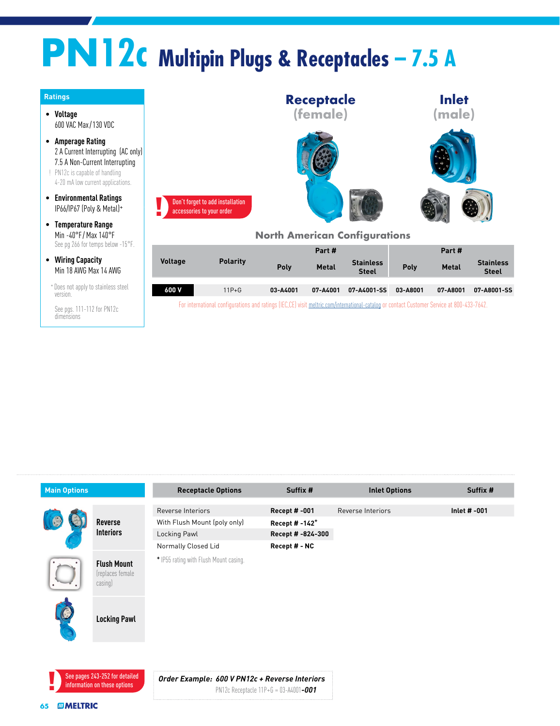## **PN12c Multipin Plugs & Receptacles – 7.5 A**



| <b>Main Options</b> |                                                                | <b>Receptacle Options</b>                      | Suffix #                   | <b>Inlet Options</b> | Suffix #       |
|---------------------|----------------------------------------------------------------|------------------------------------------------|----------------------------|----------------------|----------------|
|                     | <b>Reverse</b><br><b>Interiors</b>                             | Reverse Interiors                              | <b>Recept #-001</b>        | Reverse Interiors    | Inlet $# -001$ |
|                     |                                                                | With Flush Mount (poly only)                   | Recept # -142 <sup>+</sup> |                      |                |
|                     |                                                                | Locking Pawl                                   | Recept # -824-300          |                      |                |
|                     |                                                                | Normally Closed Lid                            | Recept # - NC              |                      |                |
|                     | <b>Flush Mount</b><br>(replaces female<br>casing)              | * IP55 rating with Flush Mount casing.         |                            |                      |                |
|                     | <b>Locking Pawl</b>                                            |                                                |                            |                      |                |
|                     | See pages 243-252 for detailed<br>information on these options | Order Example: 600 V PN12c + Reverse Interiors |                            |                      |                |